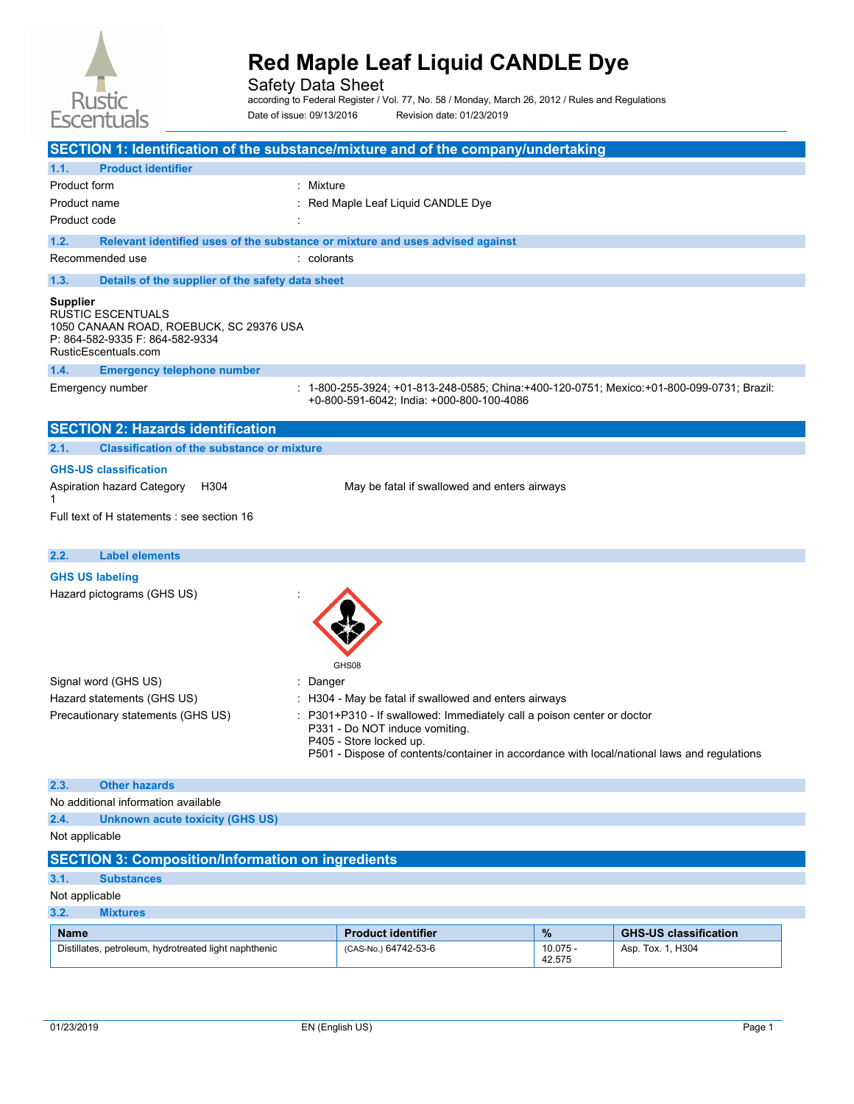

Safety Data Sheet

according to Federal Register / Vol. 77, No. 58 / Monday, March 26, 2012 / Rules and Regulations Date of issue: 09/13/2016 Revision date: 01/23/2019

| SECTION 1: Identification of the substance/mixture and of the company/undertaking                                                          |                                                                                                                                                                                                                                  |                      |                              |
|--------------------------------------------------------------------------------------------------------------------------------------------|----------------------------------------------------------------------------------------------------------------------------------------------------------------------------------------------------------------------------------|----------------------|------------------------------|
| 1.1.<br><b>Product identifier</b>                                                                                                          |                                                                                                                                                                                                                                  |                      |                              |
| Product form<br>: Mixture                                                                                                                  |                                                                                                                                                                                                                                  |                      |                              |
| Product name                                                                                                                               | Red Maple Leaf Liquid CANDLE Dye                                                                                                                                                                                                 |                      |                              |
| Product code                                                                                                                               |                                                                                                                                                                                                                                  |                      |                              |
| 1.2.<br>Relevant identified uses of the substance or mixture and uses advised against                                                      |                                                                                                                                                                                                                                  |                      |                              |
| Recommended use<br>colorants                                                                                                               |                                                                                                                                                                                                                                  |                      |                              |
| 1.3.<br>Details of the supplier of the safety data sheet                                                                                   |                                                                                                                                                                                                                                  |                      |                              |
| <b>Supplier</b><br>RUSTIC ESCENTUALS<br>1050 CANAAN ROAD, ROEBUCK, SC 29376 USA<br>P: 864-582-9335 F: 864-582-9334<br>RusticEscentuals.com |                                                                                                                                                                                                                                  |                      |                              |
| 1.4.<br><b>Emergency telephone number</b>                                                                                                  |                                                                                                                                                                                                                                  |                      |                              |
| Emergency number                                                                                                                           | : 1-800-255-3924; +01-813-248-0585; China:+400-120-0751; Mexico:+01-800-099-0731; Brazil:<br>+0-800-591-6042; India: +000-800-100-4086                                                                                           |                      |                              |
| <b>SECTION 2: Hazards identification</b>                                                                                                   |                                                                                                                                                                                                                                  |                      |                              |
| 2.1.<br><b>Classification of the substance or mixture</b>                                                                                  |                                                                                                                                                                                                                                  |                      |                              |
| <b>GHS-US classification</b>                                                                                                               |                                                                                                                                                                                                                                  |                      |                              |
| Aspiration hazard Category<br>H304<br>1                                                                                                    | May be fatal if swallowed and enters airways                                                                                                                                                                                     |                      |                              |
| Full text of H statements : see section 16                                                                                                 |                                                                                                                                                                                                                                  |                      |                              |
|                                                                                                                                            |                                                                                                                                                                                                                                  |                      |                              |
| 2.2.<br><b>Label elements</b>                                                                                                              |                                                                                                                                                                                                                                  |                      |                              |
| <b>GHS US labeling</b><br>Hazard pictograms (GHS US)                                                                                       | GHS08                                                                                                                                                                                                                            |                      |                              |
| Signal word (GHS US)<br>Danger                                                                                                             |                                                                                                                                                                                                                                  |                      |                              |
| Hazard statements (GHS US)                                                                                                                 | H304 - May be fatal if swallowed and enters airways                                                                                                                                                                              |                      |                              |
| Precautionary statements (GHS US)                                                                                                          | P301+P310 - If swallowed: Immediately call a poison center or doctor<br>P331 - Do NOT induce vomiting.<br>P405 - Store locked up.<br>P501 - Dispose of contents/container in accordance with local/national laws and regulations |                      |                              |
| 2.3.<br><b>Other hazards</b>                                                                                                               |                                                                                                                                                                                                                                  |                      |                              |
| No additional information available                                                                                                        |                                                                                                                                                                                                                                  |                      |                              |
| 2.4.<br><b>Unknown acute toxicity (GHS US)</b>                                                                                             |                                                                                                                                                                                                                                  |                      |                              |
| Not applicable                                                                                                                             |                                                                                                                                                                                                                                  |                      |                              |
| <b>SECTION 3: Composition/Information on ingredients</b>                                                                                   |                                                                                                                                                                                                                                  |                      |                              |
| 3.1.<br><b>Substances</b>                                                                                                                  |                                                                                                                                                                                                                                  |                      |                              |
| Not applicable                                                                                                                             |                                                                                                                                                                                                                                  |                      |                              |
| 3.2.<br><b>Mixtures</b>                                                                                                                    |                                                                                                                                                                                                                                  |                      |                              |
| <b>Name</b>                                                                                                                                | <b>Product identifier</b>                                                                                                                                                                                                        | %                    | <b>GHS-US classification</b> |
| Distillates, petroleum, hydrotreated light naphthenic                                                                                      | (CAS-No.) 64742-53-6                                                                                                                                                                                                             | $10.075 -$<br>42.575 | Asp. Tox. 1, H304            |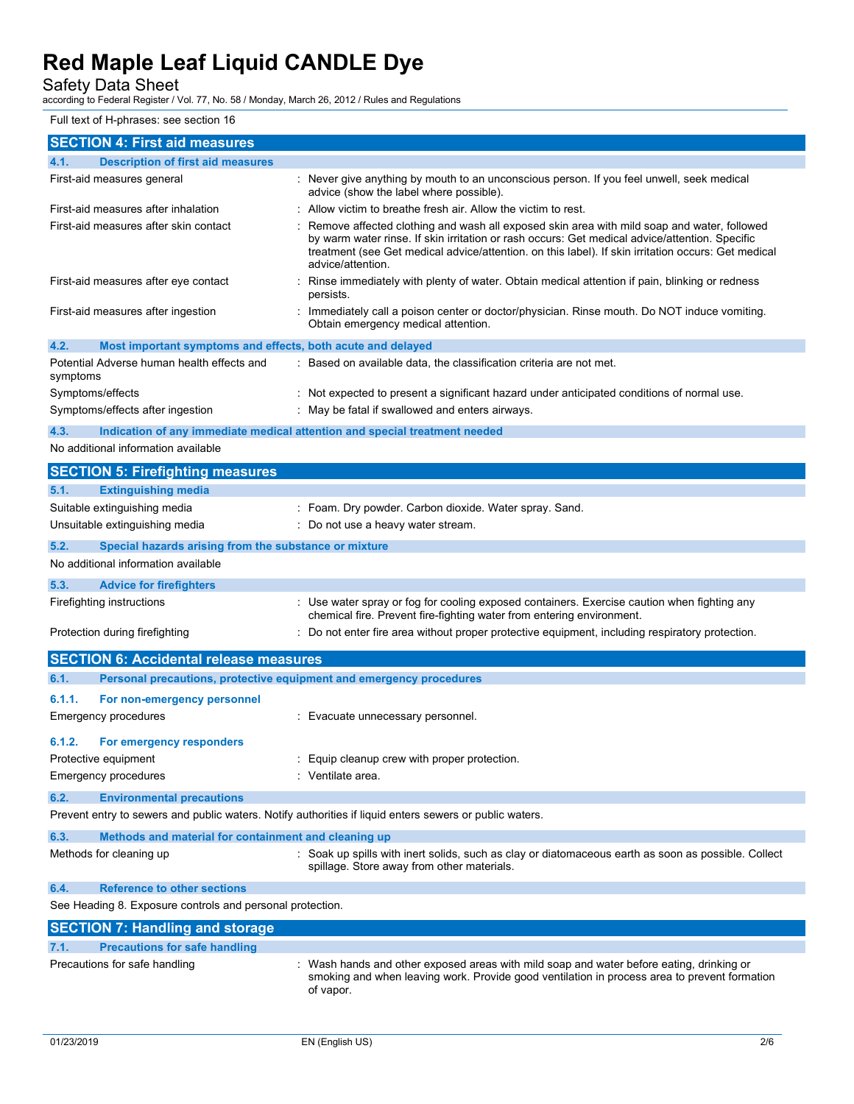## Safety Data Sheet

according to Federal Register / Vol. 77, No. 58 / Monday, March 26, 2012 / Rules and Regulations

## Full text of H-phrases: see section 16

| <b>SECTION 4: First aid measures</b>                                                                    |                                                                                                                                                                                                                                                                                                                          |
|---------------------------------------------------------------------------------------------------------|--------------------------------------------------------------------------------------------------------------------------------------------------------------------------------------------------------------------------------------------------------------------------------------------------------------------------|
| <b>Description of first aid measures</b><br>4.1.                                                        |                                                                                                                                                                                                                                                                                                                          |
| First-aid measures general                                                                              | : Never give anything by mouth to an unconscious person. If you feel unwell, seek medical<br>advice (show the label where possible).                                                                                                                                                                                     |
| First-aid measures after inhalation                                                                     | : Allow victim to breathe fresh air. Allow the victim to rest.                                                                                                                                                                                                                                                           |
| First-aid measures after skin contact                                                                   | Remove affected clothing and wash all exposed skin area with mild soap and water, followed<br>by warm water rinse. If skin irritation or rash occurs: Get medical advice/attention. Specific<br>treatment (see Get medical advice/attention. on this label). If skin irritation occurs: Get medical<br>advice/attention. |
| First-aid measures after eye contact                                                                    | Rinse immediately with plenty of water. Obtain medical attention if pain, blinking or redness<br>persists.                                                                                                                                                                                                               |
| First-aid measures after ingestion                                                                      | : Immediately call a poison center or doctor/physician. Rinse mouth. Do NOT induce vomiting.<br>Obtain emergency medical attention.                                                                                                                                                                                      |
| 4.2.<br>Most important symptoms and effects, both acute and delayed                                     |                                                                                                                                                                                                                                                                                                                          |
| Potential Adverse human health effects and<br>symptoms                                                  | : Based on available data, the classification criteria are not met.                                                                                                                                                                                                                                                      |
| Symptoms/effects                                                                                        | : Not expected to present a significant hazard under anticipated conditions of normal use.                                                                                                                                                                                                                               |
| Symptoms/effects after ingestion                                                                        | : May be fatal if swallowed and enters airways.                                                                                                                                                                                                                                                                          |
| 4.3.<br>Indication of any immediate medical attention and special treatment needed                      |                                                                                                                                                                                                                                                                                                                          |
| No additional information available                                                                     |                                                                                                                                                                                                                                                                                                                          |
| <b>SECTION 5: Firefighting measures</b>                                                                 |                                                                                                                                                                                                                                                                                                                          |
| <b>Extinguishing media</b><br>5.1.                                                                      |                                                                                                                                                                                                                                                                                                                          |
| Suitable extinguishing media                                                                            | : Foam. Dry powder. Carbon dioxide. Water spray. Sand.                                                                                                                                                                                                                                                                   |
| Unsuitable extinguishing media                                                                          | : Do not use a heavy water stream.                                                                                                                                                                                                                                                                                       |
| 5.2.<br>Special hazards arising from the substance or mixture                                           |                                                                                                                                                                                                                                                                                                                          |
| No additional information available                                                                     |                                                                                                                                                                                                                                                                                                                          |
|                                                                                                         |                                                                                                                                                                                                                                                                                                                          |
| 5.3.<br><b>Advice for firefighters</b>                                                                  |                                                                                                                                                                                                                                                                                                                          |
| Firefighting instructions                                                                               | : Use water spray or fog for cooling exposed containers. Exercise caution when fighting any<br>chemical fire. Prevent fire-fighting water from entering environment.                                                                                                                                                     |
| Protection during firefighting                                                                          | : Do not enter fire area without proper protective equipment, including respiratory protection.                                                                                                                                                                                                                          |
| <b>SECTION 6: Accidental release measures</b>                                                           |                                                                                                                                                                                                                                                                                                                          |
| 6.1.<br>Personal precautions, protective equipment and emergency procedures                             |                                                                                                                                                                                                                                                                                                                          |
| 6.1.1.<br>For non-emergency personnel                                                                   |                                                                                                                                                                                                                                                                                                                          |
| <b>Emergency procedures</b>                                                                             | : Evacuate unnecessary personnel.                                                                                                                                                                                                                                                                                        |
|                                                                                                         |                                                                                                                                                                                                                                                                                                                          |
| 6.1.2.<br>For emergency responders                                                                      |                                                                                                                                                                                                                                                                                                                          |
| Protective equipment                                                                                    | : Equip cleanup crew with proper protection.                                                                                                                                                                                                                                                                             |
| <b>Emergency procedures</b>                                                                             | : Ventilate area.                                                                                                                                                                                                                                                                                                        |
| 6.2.<br><b>Environmental precautions</b>                                                                |                                                                                                                                                                                                                                                                                                                          |
| Prevent entry to sewers and public waters. Notify authorities if liquid enters sewers or public waters. |                                                                                                                                                                                                                                                                                                                          |
| 6.3.<br>Methods and material for containment and cleaning up                                            |                                                                                                                                                                                                                                                                                                                          |
| Methods for cleaning up                                                                                 | : Soak up spills with inert solids, such as clay or diatomaceous earth as soon as possible. Collect<br>spillage. Store away from other materials.                                                                                                                                                                        |
| 6.4.<br><b>Reference to other sections</b>                                                              |                                                                                                                                                                                                                                                                                                                          |
| See Heading 8. Exposure controls and personal protection.                                               |                                                                                                                                                                                                                                                                                                                          |
| <b>SECTION 7: Handling and storage</b>                                                                  |                                                                                                                                                                                                                                                                                                                          |
| <b>Precautions for safe handling</b><br>7.1.                                                            |                                                                                                                                                                                                                                                                                                                          |
| Precautions for safe handling                                                                           | : Wash hands and other exposed areas with mild soap and water before eating, drinking or<br>smoking and when leaving work. Provide good ventilation in process area to prevent formation<br>of vapor.                                                                                                                    |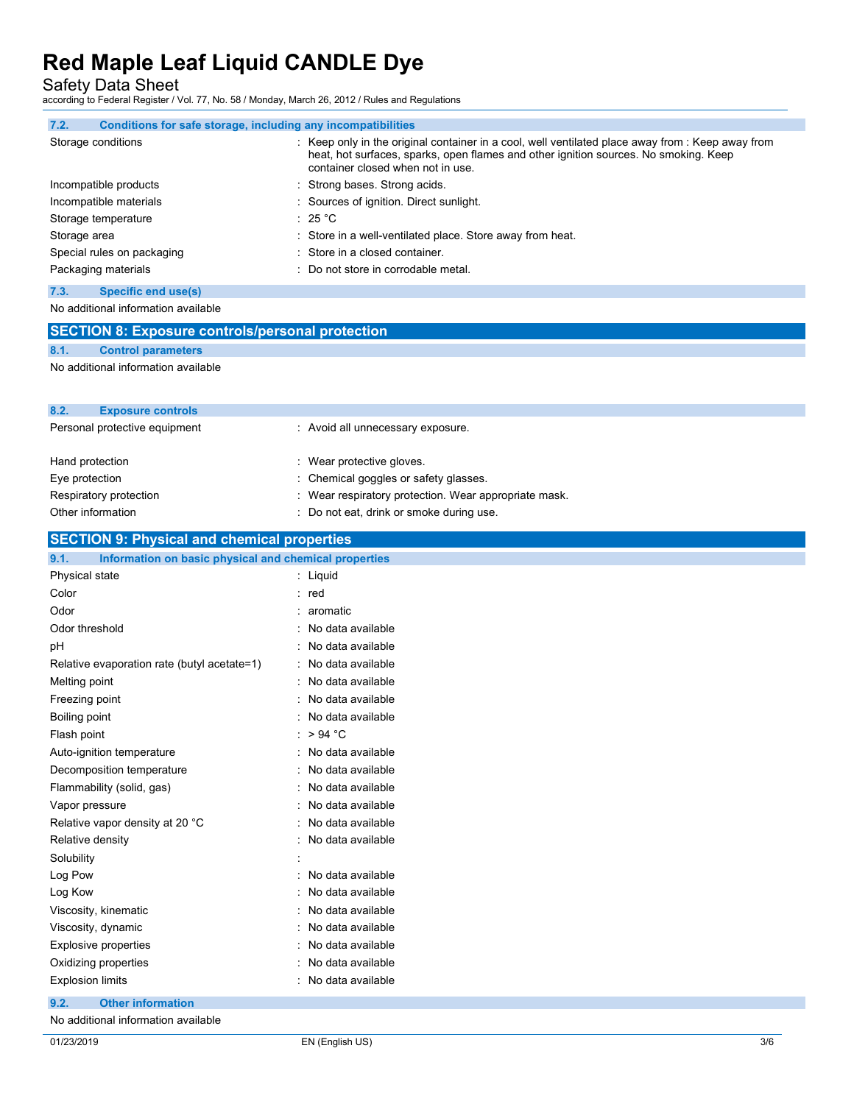Safety Data Sheet

according to Federal Register / Vol. 77, No. 58 / Monday, March 26, 2012 / Rules and Regulations

| 7.2.         | Conditions for safe storage, including any incompatibilities |                                                                                                                                                                                                                                                      |
|--------------|--------------------------------------------------------------|------------------------------------------------------------------------------------------------------------------------------------------------------------------------------------------------------------------------------------------------------|
|              | Storage conditions                                           | $\therefore$ Keep only in the original container in a cool, well ventilated place away from $\therefore$ Keep away from<br>heat, hot surfaces, sparks, open flames and other ignition sources. No smoking. Keep<br>container closed when not in use. |
|              | Incompatible products                                        | : Strong bases. Strong acids.                                                                                                                                                                                                                        |
|              | Incompatible materials                                       | : Sources of ignition. Direct sunlight.                                                                                                                                                                                                              |
|              | Storage temperature                                          | : 25 °C                                                                                                                                                                                                                                              |
| Storage area |                                                              | : Store in a well-ventilated place. Store away from heat.                                                                                                                                                                                            |
|              | Special rules on packaging                                   | : Store in a closed container.                                                                                                                                                                                                                       |
|              | Packaging materials                                          | : Do not store in corrodable metal.                                                                                                                                                                                                                  |
| 7.3.         | Specific end use(s)                                          |                                                                                                                                                                                                                                                      |

No additional information available

|      | <b>SECTION 8: Exposure controls/personal protection</b> |
|------|---------------------------------------------------------|
| 8.1. | <b>Control parameters</b>                               |

No additional information available

| 8.2.<br><b>Exposure controls</b> |                                                       |
|----------------------------------|-------------------------------------------------------|
| Personal protective equipment    | : Avoid all unnecessary exposure.                     |
|                                  |                                                       |
| Hand protection                  | : Wear protective gloves.                             |
| Eye protection                   | : Chemical goggles or safety glasses.                 |
| Respiratory protection           | : Wear respiratory protection. Wear appropriate mask. |
| Other information                | : Do not eat, drink or smoke during use.              |

### **SECTION 9: Physical and chemical properties**

| 9.1.<br>Information on basic physical and chemical properties |                     |
|---------------------------------------------------------------|---------------------|
| Physical state                                                | : Liquid            |
| Color                                                         | : red               |
| Odor                                                          | : aromatic          |
| Odor threshold                                                | : No data available |
| pH                                                            | : No data available |
| Relative evaporation rate (butyl acetate=1)                   | : No data available |
| Melting point                                                 | : No data available |
| Freezing point                                                | : No data available |
| Boiling point                                                 | No data available   |
| Flash point                                                   | : > 94 $^{\circ}$ C |
| Auto-ignition temperature                                     | No data available   |
| Decomposition temperature                                     | : No data available |
| Flammability (solid, gas)                                     | : No data available |
| Vapor pressure                                                | : No data available |
| Relative vapor density at 20 °C                               | : No data available |
| Relative density                                              | : No data available |
| Solubility                                                    |                     |
| Log Pow                                                       | No data available   |
| Log Kow                                                       | : No data available |
| Viscosity, kinematic                                          | : No data available |
| Viscosity, dynamic                                            | : No data available |
| <b>Explosive properties</b>                                   | : No data available |
| Oxidizing properties                                          | : No data available |
| <b>Explosion limits</b>                                       | : No data available |

**9.2. Other information**

No additional information available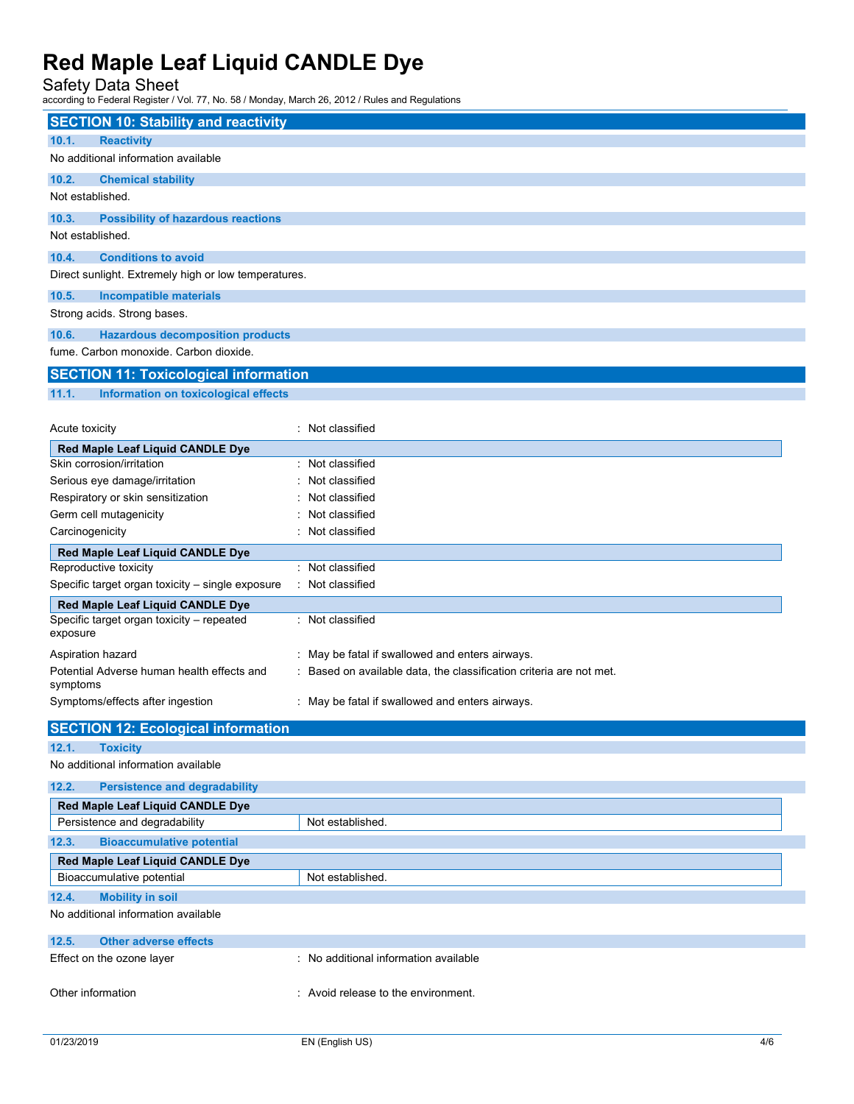## Safety Data Sheet

according to Federal Register / Vol. 77, No. 58 / Monday, March 26, 2012 / Rules and Regulations

| <b>SECTION 10: Stability and reactivity</b>                                   |                                                                     |
|-------------------------------------------------------------------------------|---------------------------------------------------------------------|
| 10.1.<br><b>Reactivity</b>                                                    |                                                                     |
| No additional information available                                           |                                                                     |
| 10.2.<br><b>Chemical stability</b>                                            |                                                                     |
| Not established.                                                              |                                                                     |
| 10.3.<br><b>Possibility of hazardous reactions</b>                            |                                                                     |
| Not established.                                                              |                                                                     |
| 10.4.<br><b>Conditions to avoid</b>                                           |                                                                     |
| Direct sunlight. Extremely high or low temperatures.                          |                                                                     |
|                                                                               |                                                                     |
| 10.5.<br><b>Incompatible materials</b><br>Strong acids. Strong bases.         |                                                                     |
|                                                                               |                                                                     |
| 10.6.<br><b>Hazardous decomposition products</b>                              |                                                                     |
| fume. Carbon monoxide. Carbon dioxide.                                        |                                                                     |
| <b>SECTION 11: Toxicological information</b>                                  |                                                                     |
| 11.1.<br>Information on toxicological effects                                 |                                                                     |
|                                                                               |                                                                     |
| Acute toxicity                                                                | : Not classified                                                    |
| Red Maple Leaf Liquid CANDLE Dye                                              |                                                                     |
| Skin corrosion/irritation                                                     | : Not classified                                                    |
| Serious eye damage/irritation                                                 | Not classified                                                      |
| Respiratory or skin sensitization                                             | Not classified                                                      |
| Germ cell mutagenicity<br>Carcinogenicity                                     | Not classified<br>Not classified                                    |
|                                                                               |                                                                     |
| Red Maple Leaf Liquid CANDLE Dye<br>Reproductive toxicity                     | : Not classified                                                    |
| Specific target organ toxicity - single exposure                              | : Not classified                                                    |
|                                                                               |                                                                     |
| Red Maple Leaf Liquid CANDLE Dye<br>Specific target organ toxicity - repeated | : Not classified                                                    |
| exposure                                                                      |                                                                     |
| Aspiration hazard                                                             | : May be fatal if swallowed and enters airways.                     |
| Potential Adverse human health effects and                                    | : Based on available data, the classification criteria are not met. |
| symptoms                                                                      |                                                                     |
| Symptoms/effects after ingestion                                              | : May be fatal if swallowed and enters airways.                     |
| <b>SECTION 12: Ecological information</b>                                     |                                                                     |
| 12.1.<br><b>Toxicity</b>                                                      |                                                                     |
| No additional information available                                           |                                                                     |
| 12.2.<br><b>Persistence and degradability</b>                                 |                                                                     |
| Red Maple Leaf Liquid CANDLE Dye                                              |                                                                     |
| Persistence and degradability                                                 | Not established.                                                    |
| 12.3.<br><b>Bioaccumulative potential</b>                                     |                                                                     |
| Red Maple Leaf Liquid CANDLE Dye                                              |                                                                     |
| Bioaccumulative potential                                                     | Not established.                                                    |
| <b>Mobility in soil</b><br>12.4.                                              |                                                                     |
| No additional information available                                           |                                                                     |
|                                                                               |                                                                     |
| 12.5.<br><b>Other adverse effects</b>                                         | : No additional information available                               |
| Effect on the ozone layer                                                     |                                                                     |
| Other information                                                             | : Avoid release to the environment.                                 |
|                                                                               |                                                                     |
|                                                                               |                                                                     |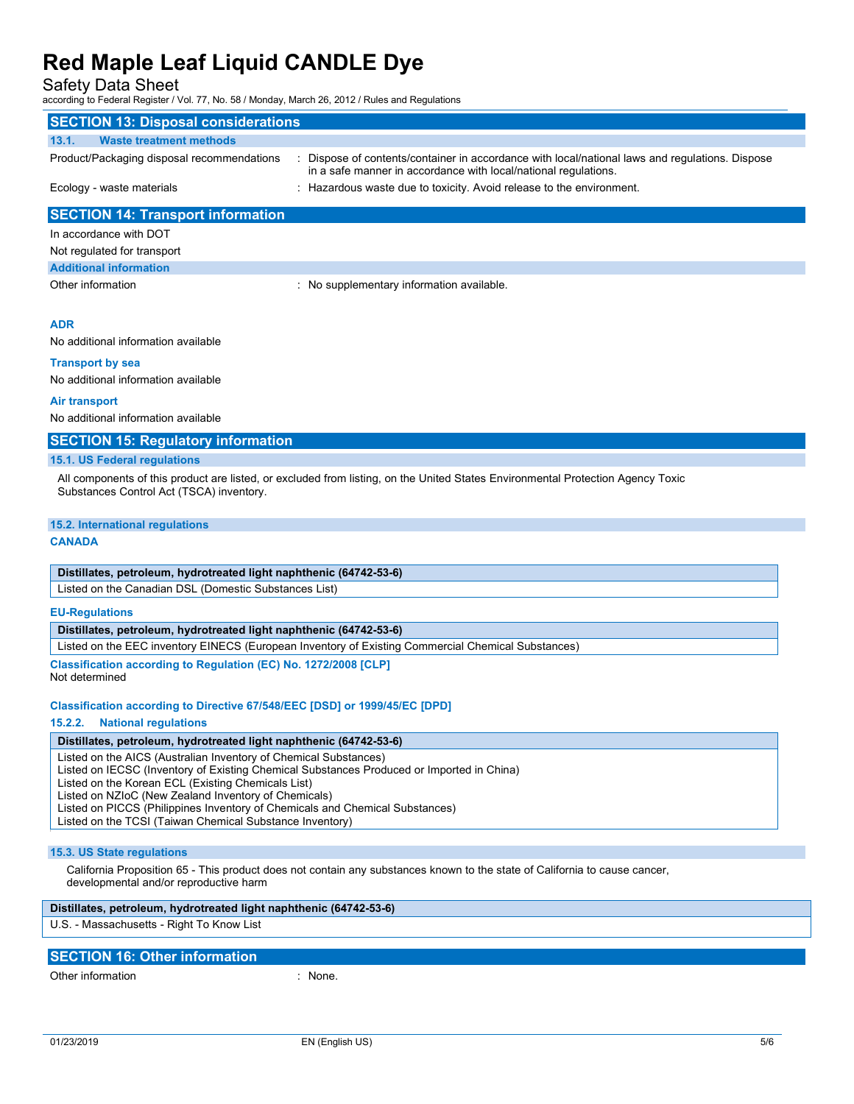### Safety Data Sheet

according to Federal Register / Vol. 77, No. 58 / Monday, March 26, 2012 / Rules and Regulations

| <b>SECTION 13: Disposal considerations</b> |                                                                                                                                                                    |
|--------------------------------------------|--------------------------------------------------------------------------------------------------------------------------------------------------------------------|
| <b>Waste treatment methods</b><br>13.1.    |                                                                                                                                                                    |
| Product/Packaging disposal recommendations | : Dispose of contents/container in accordance with local/national laws and regulations. Dispose<br>in a safe manner in accordance with local/national regulations. |
| Ecology - waste materials                  | : Hazardous waste due to toxicity. Avoid release to the environment.                                                                                               |
| <b>SECTION 14: Transport information</b>   |                                                                                                                                                                    |
| In accordance with DOT                     |                                                                                                                                                                    |
| Not regulated for transport                |                                                                                                                                                                    |
| <b>Additional information</b>              |                                                                                                                                                                    |
| Other information                          | : No supplementary information available.                                                                                                                          |
|                                            |                                                                                                                                                                    |
| <b>ADR</b>                                 |                                                                                                                                                                    |
| No additional information available        |                                                                                                                                                                    |

**Transport by sea**

No additional information available

#### **Air transport**

No additional information available

#### **SECTION 15: Regulatory information**

#### **15.1. US Federal regulations**

All components of this product are listed, or excluded from listing, on the United States Environmental Protection Agency Toxic Substances Control Act (TSCA) inventory.

#### **15.2. International regulations**

#### **CANADA**

#### **Distillates, petroleum, hydrotreated light naphthenic (64742-53-6)**

Listed on the Canadian DSL (Domestic Substances List)

#### **EU-Regulations**

#### **Distillates, petroleum, hydrotreated light naphthenic (64742-53-6)**

Listed on the EEC inventory EINECS (European Inventory of Existing Commercial Chemical Substances)

**Classification according to Regulation (EC) No. 1272/2008 [CLP]** Not determined

#### **Classification according to Directive 67/548/EEC [DSD] or 1999/45/EC [DPD]**

#### **15.2.2. National regulations**

#### **Distillates, petroleum, hydrotreated light naphthenic (64742-53-6)**

Listed on the AICS (Australian Inventory of Chemical Substances)

Listed on IECSC (Inventory of Existing Chemical Substances Produced or Imported in China)

Listed on the Korean ECL (Existing Chemicals List)

Listed on NZIoC (New Zealand Inventory of Chemicals)

Listed on PICCS (Philippines Inventory of Chemicals and Chemical Substances)

Listed on the TCSI (Taiwan Chemical Substance Inventory)

#### **15.3. US State regulations**

California Proposition 65 - This product does not contain any substances known to the state of California to cause cancer, developmental and/or reproductive harm

### **Distillates, petroleum, hydrotreated light naphthenic (64742-53-6)**

U.S. - Massachusetts - Right To Know List

## **SECTION 16: Other information**

Other information in the set of the set of the set of the set of the set of the set of the set of the set of the set of the set of the set of the set of the set of the set of the set of the set of the set of the set of the